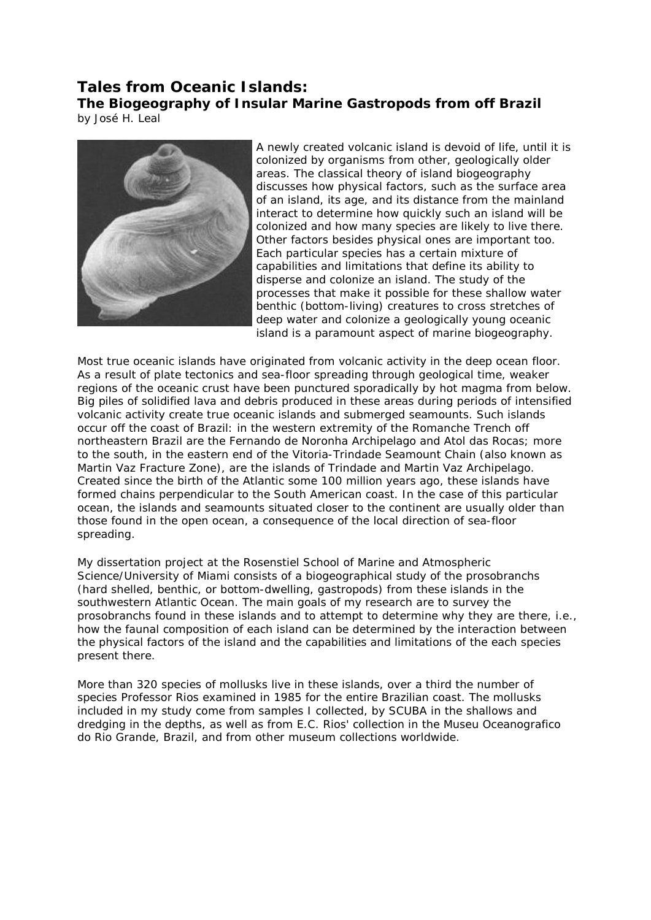# **Tales from Oceanic Islands: The Biogeography of Insular Marine Gastropods from off Brazil**

by José H. Leal



A newly created volcanic island is devoid of life, until it is colonized by organisms from other, geologically older areas. The classical theory of island biogeography discusses how physical factors, such as the surface area of an island, its age, and its distance from the mainland interact to determine how quickly such an island will be colonized and how many species are likely to live there. Other factors besides physical ones are important too. Each particular species has a certain mixture of capabilities and limitations that define its ability to disperse and colonize an island. The study of the processes that make it possible for these shallow water benthic (bottom-living) creatures to cross stretches of deep water and colonize a geologically young oceanic island is a paramount aspect of marine biogeography.

Most true oceanic islands have originated from volcanic activity in the deep ocean floor. As a result of plate tectonics and sea-floor spreading through geological time, weaker regions of the oceanic crust have been punctured sporadically by hot magma from below. Big piles of solidified lava and debris produced in these areas during periods of intensified volcanic activity create true oceanic islands and submerged seamounts. Such islands occur off the coast of Brazil: in the western extremity of the Romanche Trench off northeastern Brazil are the Fernando de Noronha Archipelago and Atol das Rocas; more to the south, in the eastern end of the Vitoria-Trindade Seamount Chain (also known as Martin Vaz Fracture Zone), are the islands of Trindade and Martin Vaz Archipelago. Created since the birth of the Atlantic some 100 million years ago, these islands have formed chains perpendicular to the South American coast. In the case of this particular ocean, the islands and seamounts situated closer to the continent are usually older than those found in the open ocean, a consequence of the local direction of sea-floor spreading.

My dissertation project at the Rosenstiel School of Marine and Atmospheric Science/University of Miami consists of a biogeographical study of the prosobranchs (hard shelled, benthic, or bottom-dwelling, gastropods) from these islands in the southwestern Atlantic Ocean. The main goals of my research are to survey the prosobranchs found in these islands and to attempt to determine why they are there, i.e., how the faunal composition of each island can be determined by the interaction between the physical factors of the island and the capabilities and limitations of the each species present there.

More than 320 species of mollusks live in these islands, over a third the number of species Professor Rios examined in 1985 for the entire Brazilian coast. The mollusks included in my study come from samples I collected, by SCUBA in the shallows and dredging in the depths, as well as from E.C. Rios' collection in the Museu Oceanografico do Rio Grande, Brazil, and from other museum collections worldwide.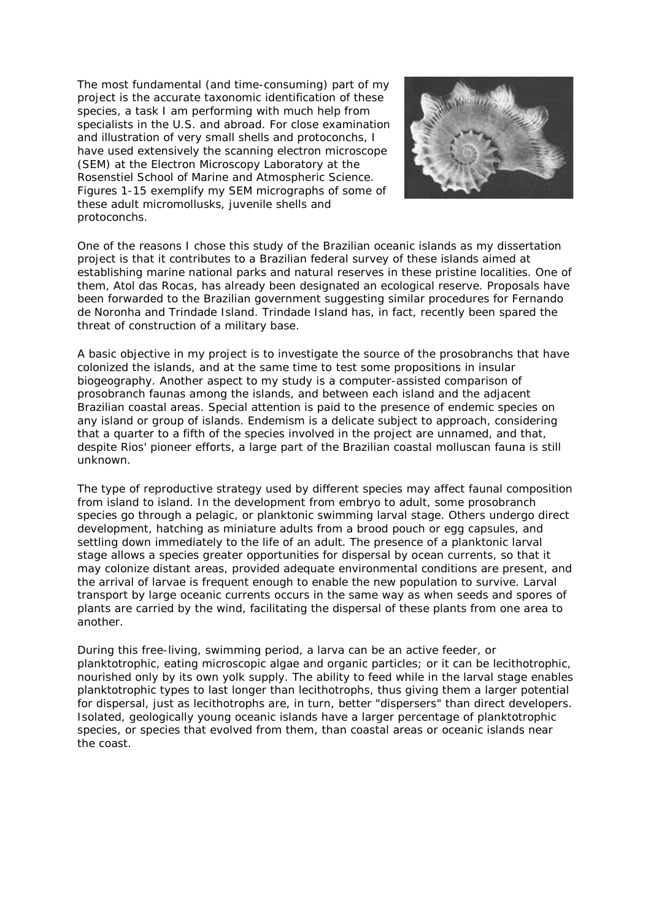The most fundamental (and time-consuming) part of my project is the accurate taxonomic identification of these species, a task I am performing with much help from specialists in the U.S. and abroad. For close examination and illustration of very small shells and protoconchs, I have used extensively the scanning electron microscope (SEM) at the Electron Microscopy Laboratory at the Rosenstiel School of Marine and Atmospheric Science. Figures 1-15 exemplify my SEM micrographs of some of these adult micromollusks, juvenile shells and protoconchs.



One of the reasons I chose this study of the Brazilian oceanic islands as my dissertation project is that it contributes to a Brazilian federal survey of these islands aimed at establishing marine national parks and natural reserves in these pristine localities. One of them, Atol das Rocas, has already been designated an ecological reserve. Proposals have been forwarded to the Brazilian government suggesting similar procedures for Fernando de Noronha and Trindade Island. Trindade Island has, in fact, recently been spared the threat of construction of a military base.

A basic objective in my project is to investigate the source of the prosobranchs that have colonized the islands, and at the same time to test some propositions in insular biogeography. Another aspect to my study is a computer-assisted comparison of prosobranch faunas among the islands, and between each island and the adjacent Brazilian coastal areas. Special attention is paid to the presence of endemic species on any island or group of islands. Endemism is a delicate subject to approach, considering that a quarter to a fifth of the species involved in the project are unnamed, and that, despite Rios' pioneer efforts, a large part of the Brazilian coastal molluscan fauna is still unknown.

The type of reproductive strategy used by different species may affect faunal composition from island to island. In the development from embryo to adult, some prosobranch species go through a pelagic, or planktonic swimming larval stage. Others undergo direct development, hatching as miniature adults from a brood pouch or egg capsules, and settling down immediately to the life of an adult. The presence of a planktonic larval stage allows a species greater opportunities for dispersal by ocean currents, so that it may colonize distant areas, provided adequate environmental conditions are present, and the arrival of larvae is frequent enough to enable the new population to survive. Larval transport by large oceanic currents occurs in the same way as when seeds and spores of plants are carried by the wind, facilitating the dispersal of these plants from one area to another.

During this free-living, swimming period, a larva can be an active feeder, or planktotrophic, eating microscopic algae and organic particles; or it can be lecithotrophic, nourished only by its own yolk supply. The ability to feed while in the larval stage enables planktotrophic types to last longer than lecithotrophs, thus giving them a larger potential for dispersal, just as lecithotrophs are, in turn, better "dispersers" than direct developers. Isolated, geologically young oceanic islands have a larger percentage of planktotrophic species, or species that evolved from them, than coastal areas or oceanic islands near the coast.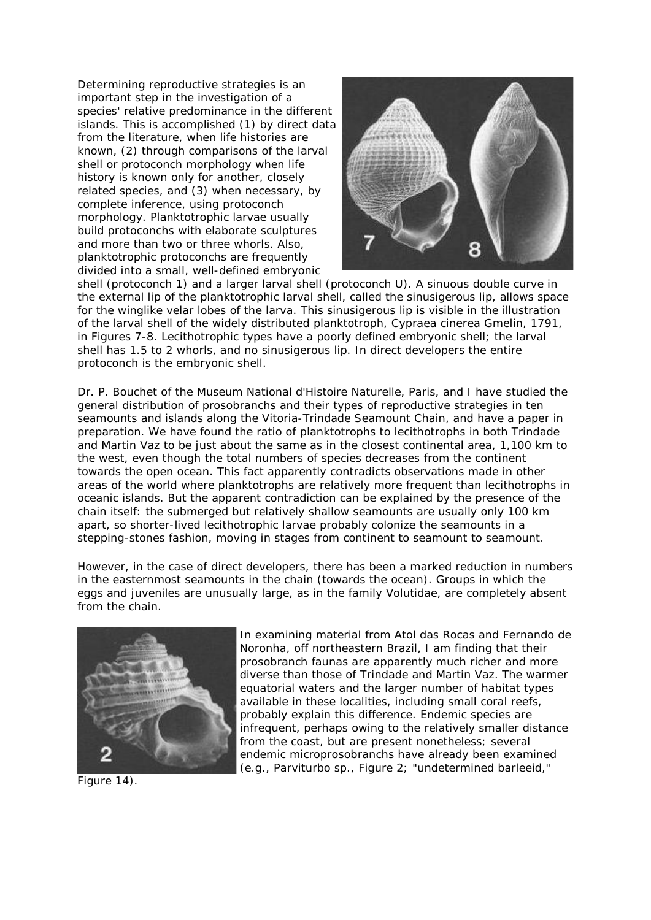Determining reproductive strategies is an important step in the investigation of a species' relative predominance in the different islands. This is accomplished (1) by direct data from the literature, when life histories are known, (2) through comparisons of the larval shell or protoconch morphology when life history is known only for another, closely related species, and (3) when necessary, by complete inference, using protoconch morphology. Planktotrophic larvae usually build protoconchs with elaborate sculptures and more than two or three whorls. Also, planktotrophic protoconchs are frequently divided into a small, well-defined embryonic



shell (protoconch 1) and a larger larval shell (protoconch U). A sinuous double curve in the external lip of the planktotrophic larval shell, called the sinusigerous lip, allows space for the winglike velar lobes of the larva. This sinusigerous lip is visible in the illustration of the larval shell of the widely distributed planktotroph, Cypraea cinerea Gmelin, 1791, in Figures 7-8. Lecithotrophic types have a poorly defined embryonic shell; the larval shell has 1.5 to 2 whorls, and no sinusigerous lip. In direct developers the entire protoconch is the embryonic shell.

Dr. P. Bouchet of the Museum National d'Histoire Naturelle, Paris, and I have studied the general distribution of prosobranchs and their types of reproductive strategies in ten seamounts and islands along the Vitoria-Trindade Seamount Chain, and have a paper in preparation. We have found the ratio of planktotrophs to lecithotrophs in both Trindade and Martin Vaz to be just about the same as in the closest continental area, 1,100 km to the west, even though the total numbers of species decreases from the continent towards the open ocean. This fact apparently contradicts observations made in other areas of the world where planktotrophs are relatively more frequent than lecithotrophs in oceanic islands. But the apparent contradiction can be explained by the presence of the chain itself: the submerged but relatively shallow seamounts are usually only 100 km apart, so shorter-lived lecithotrophic larvae probably colonize the seamounts in a stepping-stones fashion, moving in stages from continent to seamount to seamount.

However, in the case of direct developers, there has been a marked reduction in numbers in the easternmost seamounts in the chain (towards the ocean). Groups in which the eggs and juveniles are unusually large, as in the family Volutidae, are completely absent from the chain.



Figure 14).

In examining material from Atol das Rocas and Fernando de Noronha, off northeastern Brazil, I am finding that their prosobranch faunas are apparently much richer and more diverse than those of Trindade and Martin Vaz. The warmer equatorial waters and the larger number of habitat types available in these localities, including small coral reefs, probably explain this difference. Endemic species are infrequent, perhaps owing to the relatively smaller distance from the coast, but are present nonetheless; several endemic microprosobranchs have already been examined (e.g., Parviturbo sp., Figure 2; "undetermined barleeid,"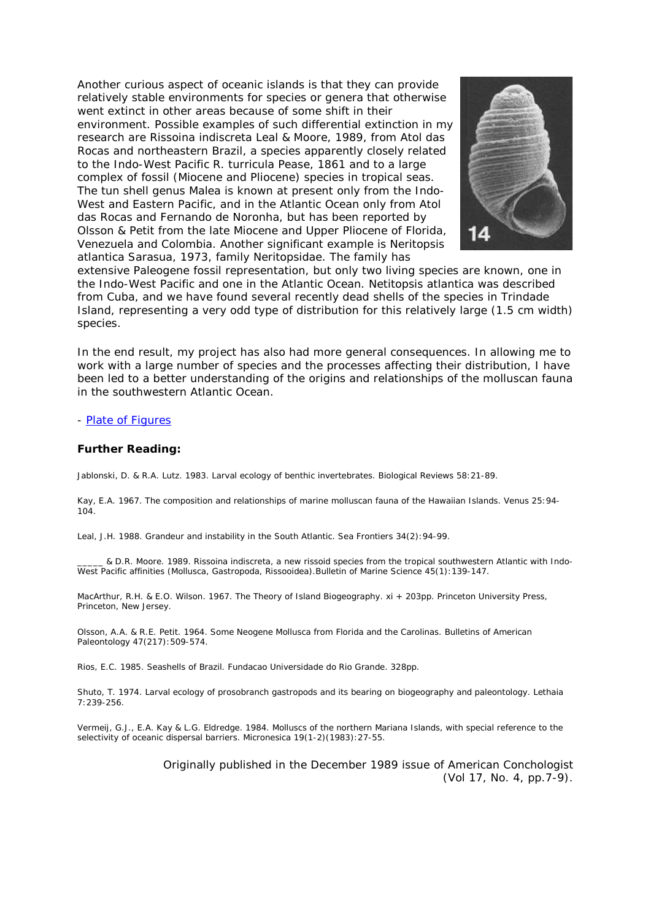Another curious aspect of oceanic islands is that they can provide relatively stable environments for species or genera that otherwise went extinct in other areas because of some shift in their environment. Possible examples of such differential extinction in my research are Rissoina indiscreta Leal & Moore, 1989, from Atol das Rocas and northeastern Brazil, a species apparently closely related to the Indo-West Pacific R. turricula Pease, 1861 and to a large complex of fossil (Miocene and Pliocene) species in tropical seas. The tun shell genus Malea is known at present only from the Indo-West and Eastern Pacific, and in the Atlantic Ocean only from Atol das Rocas and Fernando de Noronha, but has been reported by Olsson & Petit from the late Miocene and Upper Pliocene of Florida, Venezuela and Colombia. Another significant example is Neritopsis atlantica Sarasua, 1973, family Neritopsidae. The family has



extensive Paleogene fossil representation, but only two living species are known, one in the Indo-West Pacific and one in the Atlantic Ocean. Netitopsis atlantica was described from Cuba, and we have found several recently dead shells of the species in Trindade Island, representing a very odd type of distribution for this relatively large (1.5 cm width) species.

In the end result, my project has also had more general consequences. In allowing me to work with a large number of species and the processes affecting their distribution, I have been led to a better understanding of the origins and relationships of the molluscan fauna in the southwestern Atlantic Ocean.

### - [Plate of](http://www.conchologistsofamerica.org/articles/y1989/8912b_leal.asp) Figures

### **Further Reading:**

Jablonski, D. & R.A. Lutz. 1983. Larval ecology of benthic invertebrates. Biological Reviews 58:21-89.

Kay, E.A. 1967. The composition and relationships of marine molluscan fauna of the Hawaiian Islands. Venus 25:94- 104.

Leal, J.H. 1988. Grandeur and instability in the South Atlantic. Sea Frontiers 34(2):94-99.

\_\_\_\_\_ & D.R. Moore. 1989. Rissoina indiscreta, a new rissoid species from the tropical southwestern Atlantic with Indo-West Pacific affinities (Mollusca, Gastropoda, Rissooidea).Bulletin of Marine Science 45(1):139-147.

MacArthur, R.H. & E.O. Wilson. 1967. The Theory of Island Biogeography. xi + 203pp. Princeton University Press, Princeton, New Jersey.

Olsson, A.A. & R.E. Petit. 1964. Some Neogene Mollusca from Florida and the Carolinas. Bulletins of American Paleontology 47(217):509-574.

Rios, E.C. 1985. Seashells of Brazil. Fundacao Universidade do Rio Grande. 328pp.

Shuto, T. 1974. Larval ecology of prosobranch gastropods and its bearing on biogeography and paleontology. Lethaia 7:239-256.

Vermeij, G.J., E.A. Kay & L.G. Eldredge. 1984. Molluscs of the northern Mariana Islands, with special reference to the selectivity of oceanic dispersal barriers. Micronesica 19(1-2)(1983):27-55.

> Originally published in the December 1989 issue of American Conchologist (Vol 17, No. 4, pp.7-9).